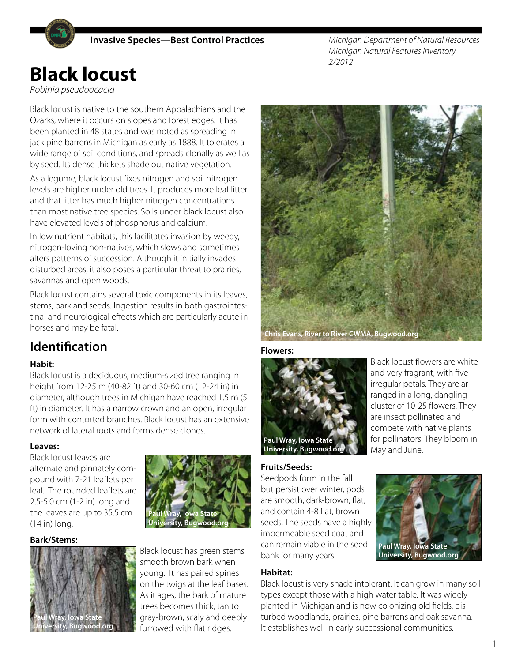

*Michigan Department of Natural Resources Michigan Natural Features Inventory 2/2012*

# **Black locust**

*Robinia pseudoacacia*

Black locust is native to the southern Appalachians and the Ozarks, where it occurs on slopes and forest edges. It has been planted in 48 states and was noted as spreading in jack pine barrens in Michigan as early as 1888. It tolerates a wide range of soil conditions, and spreads clonally as well as by seed. Its dense thickets shade out native vegetation.

As a legume, black locust fixes nitrogen and soil nitrogen levels are higher under old trees. It produces more leaf litter and that litter has much higher nitrogen concentrations than most native tree species. Soils under black locust also have elevated levels of phosphorus and calcium.

In low nutrient habitats, this facilitates invasion by weedy, nitrogen-loving non-natives, which slows and sometimes alters patterns of succession. Although it initially invades disturbed areas, it also poses a particular threat to prairies, savannas and open woods.

Black locust contains several toxic components in its leaves, stems, bark and seeds. Ingestion results in both gastrointestinal and neurological effects which are particularly acute in horses and may be fatal.

# **Identification**

#### **Habit:**

Black locust is a deciduous, medium-sized tree ranging in height from 12-25 m (40-82 ft) and 30-60 cm (12-24 in) in diameter, although trees in Michigan have reached 1.5 m (5 ft) in diameter. It has a narrow crown and an open, irregular form with contorted branches. Black locust has an extensive network of lateral roots and forms dense clones.

#### **Leaves:**

Black locust leaves are alternate and pinnately compound with 7-21 leaflets per leaf. The rounded leaflets are 2.5-5.0 cm (1-2 in) long and the leaves are up to 35.5 cm (14 in) long.

#### **Bark/Stems:**





Black locust has green stems, smooth brown bark when young. It has paired spines on the twigs at the leaf bases. As it ages, the bark of mature trees becomes thick, tan to gray-brown, scaly and deeply furrowed with flat ridges.



**Flowers:** 



Black locust flowers are white and very fragrant, with five irregular petals. They are arranged in a long, dangling cluster of 10-25 flowers. They are insect pollinated and compete with native plants for pollinators. They bloom in May and June.

#### **Fruits/Seeds:**

Seedpods form in the fall but persist over winter, pods are smooth, dark-brown, flat, and contain 4-8 flat, brown seeds. The seeds have a highly impermeable seed coat and can remain viable in the seed bank for many years.

#### **Habitat:**

**Paul Wray, Iowa State University, Bugwood.org**

Black locust is very shade intolerant. It can grow in many soil types except those with a high water table. It was widely planted in Michigan and is now colonizing old fields, disturbed woodlands, prairies, pine barrens and oak savanna. It establishes well in early-successional communities.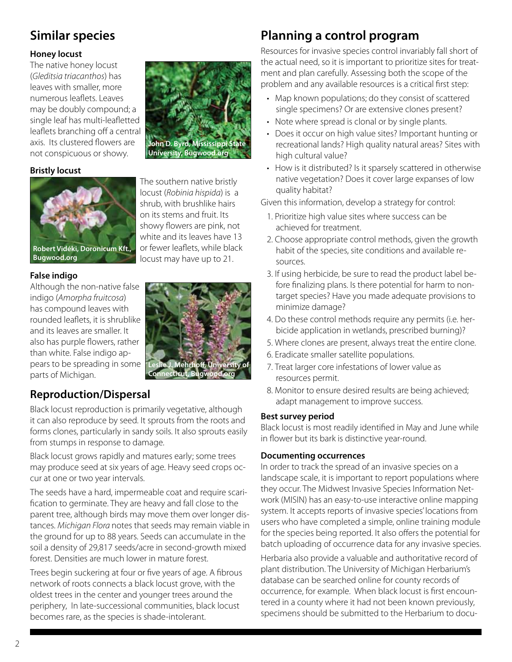# **Similar species**

#### **Honey locust**

The native honey locust (*Gleditsia triacanthos*) has leaves with smaller, more numerous leaflets. Leaves may be doubly compound; a single leaf has multi-leafletted leaflets branching off a central axis. Its clustered flowers are not conspicuous or showy.

#### **Bristly locust**



The southern native bristly locust (*Robinia hispida*) is a shrub, with brushlike hairs on its stems and fruit. Its showy flowers are pink, not white and its leaves have 13 or fewer leaflets, while black locust may have up to 21.

**John D. Byrd, Mississippi State University, Bugwood.org**

**Bugwood.org**

#### **False indigo**

Although the non-native false indigo (*Amorpha fruitcosa*) has compound leaves with rounded leaflets, it is shrublike and its leaves are smaller. It also has purple flowers, rather than white. False indigo appears to be spreading in some parts of Michigan.

### **Reproduction/Dispersal**

Black locust reproduction is primarily vegetative, although it can also reproduce by seed. It sprouts from the roots and forms clones, particularly in sandy soils. It also sprouts easily from stumps in response to damage.

Black locust grows rapidly and matures early; some trees may produce seed at six years of age. Heavy seed crops occur at one or two year intervals.

The seeds have a hard, impermeable coat and require scarification to germinate. They are heavy and fall close to the parent tree, although birds may move them over longer distances. *Michigan Flora* notes that seeds may remain viable in the ground for up to 88 years. Seeds can accumulate in the soil a density of 29,817 seeds/acre in second-growth mixed forest. Densities are much lower in mature forest.

Trees begin suckering at four or five years of age. A fibrous network of roots connects a black locust grove, with the oldest trees in the center and younger trees around the periphery, In late-successional communities, black locust becomes rare, as the species is shade-intolerant.

# **Planning a control program**

Resources for invasive species control invariably fall short of the actual need, so it is important to prioritize sites for treatment and plan carefully. Assessing both the scope of the problem and any available resources is a critical first step:

- Map known populations; do they consist of scattered single specimens? Or are extensive clones present?
- Note where spread is clonal or by single plants.
- Does it occur on high value sites? Important hunting or recreational lands? High quality natural areas? Sites with high cultural value?
- How is it distributed? Is it sparsely scattered in otherwise native vegetation? Does it cover large expanses of low quality habitat?

Given this information, develop a strategy for control:

- 1. Prioritize high value sites where success can be achieved for treatment.
- 2. Choose appropriate control methods, given the growth habit of the species, site conditions and available resources.
- 3. If using herbicide, be sure to read the product label before finalizing plans. Is there potential for harm to nontarget species? Have you made adequate provisions to minimize damage?
- 4. Do these control methods require any permits (i.e. herbicide application in wetlands, prescribed burning)?
- 5. Where clones are present, always treat the entire clone.
- 6. Eradicate smaller satellite populations.
- 7. Treat larger core infestations of lower value as resources permit.
- 8. Monitor to ensure desired results are being achieved; adapt management to improve success.

#### **Best survey period**

Black locust is most readily identified in May and June while in flower but its bark is distinctive year-round.

#### **Documenting occurrences**

In order to track the spread of an invasive species on a landscape scale, it is important to report populations where they occur. The Midwest Invasive Species Information Network (MISIN) has an easy-to-use interactive online mapping system. It accepts reports of invasive species' locations from users who have completed a simple, online training module for the species being reported. It also offers the potential for batch uploading of occurrence data for any invasive species.

Herbaria also provide a valuable and authoritative record of plant distribution. The University of Michigan Herbarium's database can be searched online for county records of occurrence, for example. When black locust is first encountered in a county where it had not been known previously, specimens should be submitted to the Herbarium to docu-

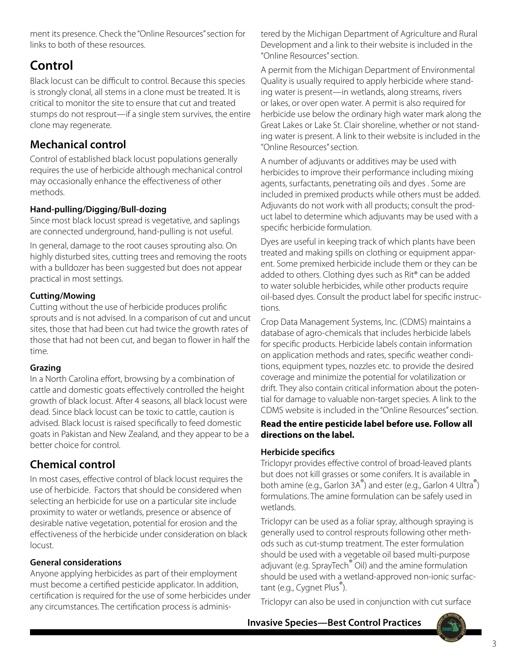ment its presence. Check the "Online Resources" section for links to both of these resources.

# **Control**

Black locust can be difficult to control. Because this species is strongly clonal, all stems in a clone must be treated. It is critical to monitor the site to ensure that cut and treated stumps do not resprout—if a single stem survives, the entire clone may regenerate.

## **Mechanical control**

Control of established black locust populations generally requires the use of herbicide although mechanical control may occasionally enhance the effectiveness of other methods.

#### **Hand-pulling/Digging/Bull-dozing**

Since most black locust spread is vegetative, and saplings are connected underground, hand-pulling is not useful.

In general, damage to the root causes sprouting also. On highly disturbed sites, cutting trees and removing the roots with a bulldozer has been suggested but does not appear practical in most settings.

#### **Cutting/Mowing**

Cutting without the use of herbicide produces prolific sprouts and is not advised. In a comparison of cut and uncut sites, those that had been cut had twice the growth rates of those that had not been cut, and began to flower in half the time.

#### **Grazing**

In a North Carolina effort, browsing by a combination of cattle and domestic goats effectively controlled the height growth of black locust. After 4 seasons, all black locust were dead. Since black locust can be toxic to cattle, caution is advised. Black locust is raised specifically to feed domestic goats in Pakistan and New Zealand, and they appear to be a better choice for control.

### **Chemical control**

In most cases, effective control of black locust requires the use of herbicide. Factors that should be considered when selecting an herbicide for use on a particular site include proximity to water or wetlands, presence or absence of desirable native vegetation, potential for erosion and the effectiveness of the herbicide under consideration on black locust.

#### **General considerations**

Anyone applying herbicides as part of their employment must become a certified pesticide applicator. In addition, certification is required for the use of some herbicides under any circumstances. The certification process is administered by the Michigan Department of Agriculture and Rural Development and a link to their website is included in the "Online Resources" section.

A permit from the Michigan Department of Environmental Quality is usually required to apply herbicide where standing water is present—in wetlands, along streams, rivers or lakes, or over open water. A permit is also required for herbicide use below the ordinary high water mark along the Great Lakes or Lake St. Clair shoreline, whether or not standing water is present. A link to their website is included in the "Online Resources" section.

A number of adjuvants or additives may be used with herbicides to improve their performance including mixing agents, surfactants, penetrating oils and dyes . Some are included in premixed products while others must be added. Adjuvants do not work with all products; consult the product label to determine which adjuvants may be used with a specific herbicide formulation.

Dyes are useful in keeping track of which plants have been treated and making spills on clothing or equipment apparent. Some premixed herbicide include them or they can be added to others. Clothing dyes such as Rit® can be added to water soluble herbicides, while other products require oil-based dyes. Consult the product label for specific instructions.

Crop Data Management Systems, Inc. (CDMS) maintains a database of agro-chemicals that includes herbicide labels for specific products. Herbicide labels contain information on application methods and rates, specific weather conditions, equipment types, nozzles etc. to provide the desired coverage and minimize the potential for volatilization or drift. They also contain critical information about the potential for damage to valuable non-target species. A link to the CDMS website is included in the "Online Resources" section.

#### **Read the entire pesticide label before use. Follow all directions on the label.**

#### **Herbicide specifics**

Triclopyr provides effective control of broad-leaved plants but does not kill grasses or some conifers. It is available in both amine (e.g., Garlon 3A<sup>®</sup>) and ester (e.g., Garlon 4 Ultra<sup>®</sup>) formulations. The amine formulation can be safely used in wetlands.

Triclopyr can be used as a foliar spray, although spraying is generally used to control resprouts following other methods such as cut-stump treatment. The ester formulation should be used with a vegetable oil based multi-purpose adjuvant (e.g. SprayTech<sup>®</sup> Oil) and the amine formulation should be used with a wetland-approved non-ionic surfactant (e.g., Cygnet Plus<sup>®</sup>).

Triclopyr can also be used in conjunction with cut surface

**Invasive Species—Best Control Practices**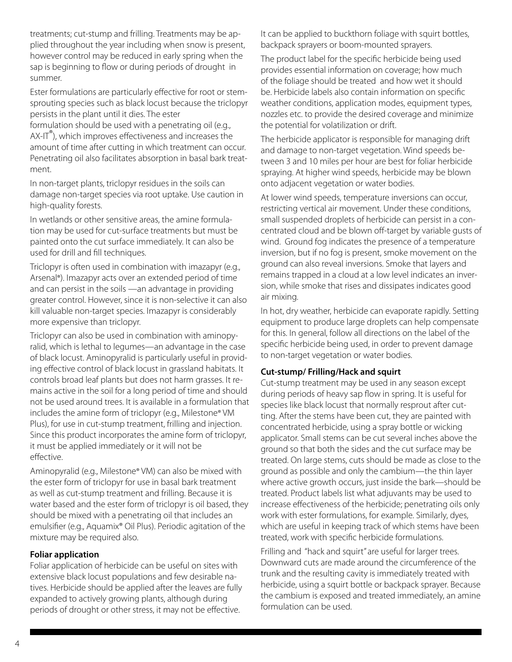treatments; cut-stump and frilling. Treatments may be applied throughout the year including when snow is present, however control may be reduced in early spring when the sap is beginning to flow or during periods of drought in summer.

Ester formulations are particularly effective for root or stemsprouting species such as black locust because the triclopyr persists in the plant until it dies. The ester

formulation should be used with a penetrating oil (e.g., AX-IT<sup>®</sup>), which improves effectiveness and increases the amount of time after cutting in which treatment can occur. Penetrating oil also facilitates absorption in basal bark treatment.

In non-target plants, triclopyr residues in the soils can damage non-target species via root uptake. Use caution in high-quality forests.

In wetlands or other sensitive areas, the amine formulation may be used for cut-surface treatments but must be painted onto the cut surface immediately. It can also be used for drill and fill techniques.

Triclopyr is often used in combination with imazapyr (e.g., Arsenal®). Imazapyr acts over an extended period of time and can persist in the soils —an advantage in providing greater control. However, since it is non-selective it can also kill valuable non-target species. Imazapyr is considerably more expensive than triclopyr.

Triclopyr can also be used in combination with aminopyralid, which is lethal to legumes—an advantage in the case of black locust. Aminopyralid is particularly useful in providing effective control of black locust in grassland habitats. It controls broad leaf plants but does not harm grasses. It remains active in the soil for a long period of time and should not be used around trees. It is available in a formulation that includes the amine form of triclopyr (e.g., Milestone® VM Plus), for use in cut-stump treatment, frilling and injection. Since this product incorporates the amine form of triclopyr, it must be applied immediately or it will not be effective.

Aminopyralid (e.g., Milestone® VM) can also be mixed with the ester form of triclopyr for use in basal bark treatment as well as cut-stump treatment and frilling. Because it is water based and the ester form of triclopyr is oil based, they should be mixed with a penetrating oil that includes an emulsifier (e.g., Aquamix® Oil Plus). Periodic agitation of the mixture may be required also.

#### **Foliar application**

Foliar application of herbicide can be useful on sites with extensive black locust populations and few desirable natives. Herbicide should be applied after the leaves are fully expanded to actively growing plants, although during periods of drought or other stress, it may not be effective.

It can be applied to buckthorn foliage with squirt bottles, backpack sprayers or boom-mounted sprayers.

The product label for the specific herbicide being used provides essential information on coverage; how much of the foliage should be treated and how wet it should be. Herbicide labels also contain information on specific weather conditions, application modes, equipment types, nozzles etc. to provide the desired coverage and minimize the potential for volatilization or drift.

The herbicide applicator is responsible for managing drift and damage to non-target vegetation. Wind speeds between 3 and 10 miles per hour are best for foliar herbicide spraying. At higher wind speeds, herbicide may be blown onto adjacent vegetation or water bodies.

At lower wind speeds, temperature inversions can occur, restricting vertical air movement. Under these conditions, small suspended droplets of herbicide can persist in a concentrated cloud and be blown off-target by variable gusts of wind. Ground fog indicates the presence of a temperature inversion, but if no fog is present, smoke movement on the ground can also reveal inversions. Smoke that layers and remains trapped in a cloud at a low level indicates an inversion, while smoke that rises and dissipates indicates good air mixing.

In hot, dry weather, herbicide can evaporate rapidly. Setting equipment to produce large droplets can help compensate for this. In general, follow all directions on the label of the specific herbicide being used, in order to prevent damage to non-target vegetation or water bodies.

#### **Cut-stump/ Frilling/Hack and squirt**

Cut-stump treatment may be used in any season except during periods of heavy sap flow in spring. It is useful for species like black locust that normally resprout after cutting. After the stems have been cut, they are painted with concentrated herbicide, using a spray bottle or wicking applicator. Small stems can be cut several inches above the ground so that both the sides and the cut surface may be treated. On large stems, cuts should be made as close to the ground as possible and only the cambium—the thin layer where active growth occurs, just inside the bark—should be treated. Product labels list what adjuvants may be used to increase effectiveness of the herbicide; penetrating oils only work with ester formulations, for example. Similarly, dyes, which are useful in keeping track of which stems have been treated, work with specific herbicide formulations.

Frilling and "hack and squirt" are useful for larger trees. Downward cuts are made around the circumference of the trunk and the resulting cavity is immediately treated with herbicide, using a squirt bottle or backpack sprayer. Because the cambium is exposed and treated immediately, an amine formulation can be used.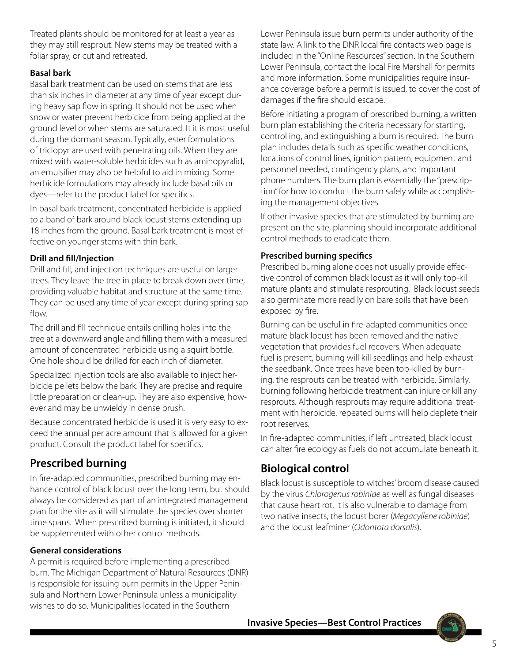Treated plants should be monitored for at least a year as they may still resprout. New stems may be treated with a foliar spray, or cut and retreated.

#### **Basal bark**

Basal bark treatment can be used on stems that are less than six inches in diameter at any time of year except during heavy sap flow in spring. It should not be used when snow or water prevent herbicide from being applied at the ground level or when stems are saturated. It it is most useful during the dormant season. Typically, ester formulations of triclopyr are used with penetrating oils. When they are mixed with water-soluble herbicides such as aminopyralid, an emulsifier may also be helpful to aid in mixing. Some herbicide formulations may already include basal oils or dyes—refer to the product label for specifics.

In basal bark treatment, concentrated herbicide is applied to a band of bark around black locust stems extending up 18 inches from the ground. Basal bark treatment is most effective on younger stems with thin bark.

#### **Drill and fill/Injection**

Drill and fill, and injection techniques are useful on larger trees. They leave the tree in place to break down over time, providing valuable habitat and structure at the same time. They can be used any time of year except during spring sap flow.

The drill and fill technique entails drilling holes into the tree at a downward angle and filling them with a measured amount of concentrated herbicide using a squirt bottle. One hole should be drilled for each inch of diameter.

Specialized injection tools are also available to inject herbicide pellets below the bark. They are precise and require little preparation or clean-up. They are also expensive, however and may be unwieldy in dense brush.

Because concentrated herbicide is used it is very easy to exceed the annual per acre amount that is allowed for a given product. Consult the product label for specifics.

### **Prescribed burning**

In fire-adapted communities, prescribed burning may enhance control of black locust over the long term, but should always be considered as part of an integrated management plan for the site as it will stimulate the species over shorter time spans. When prescribed burning is initiated, it should be supplemented with other control methods.

#### **General considerations**

A permit is required before implementing a prescribed burn. The Michigan Department of Natural Resources (DNR) is responsible for issuing burn permits in the Upper Peninsula and Northern Lower Peninsula unless a municipality wishes to do so. Municipalities located in the Southern

Lower Peninsula issue burn permits under authority of the state law. A link to the DNR local fire contacts web page is included in the "Online Resources" section. In the Southern Lower Peninsula, contact the local Fire Marshall for permits and more information. Some municipalities require insurance coverage before a permit is issued, to cover the cost of damages if the fire should escape.

Before initiating a program of prescribed burning, a written burn plan establishing the criteria necessary for starting, controlling, and extinguishing a burn is required. The burn plan includes details such as specific weather conditions, locations of control lines, ignition pattern, equipment and personnel needed, contingency plans, and important phone numbers. The burn plan is essentially the "prescription" for how to conduct the burn safely while accomplishing the management objectives.

If other invasive species that are stimulated by burning are present on the site, planning should incorporate additional control methods to eradicate them.

#### **Prescribed burning specifics**

Prescribed burning alone does not usually provide effective control of common black locust as it will only top-kill mature plants and stimulate resprouting. Black locust seeds also germinate more readily on bare soils that have been exposed by fire.

Burning can be useful in fire-adapted communities once mature black locust has been removed and the native vegetation that provides fuel recovers. When adequate fuel is present, burning will kill seedlings and help exhaust the seedbank. Once trees have been top-killed by burning, the resprouts can be treated with herbicide. Similarly, burning following herbicide treatment can injure or kill any resprouts. Although resprouts may require additional treatment with herbicide, repeated burns will help deplete their root reserves.

In fire-adapted communities, if left untreated, black locust can alter fire ecology as fuels do not accumulate beneath it.

### **Biological control**

Black locust is susceptible to witches' broom disease caused by the virus *Chlorogenus robiniae* as well as fungal diseases that cause heart rot. It is also vulnerable to damage from two native insects, the locust borer (*Megacyllene robiniae*) and the locust leafminer (*Odontota dorsalis*).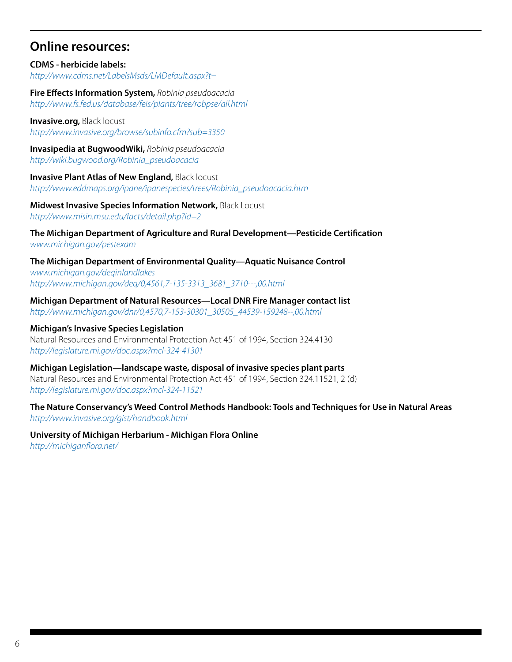### **Online resources:**

#### **CDMS - herbicide labels:** *http://www.cdms.net/LabelsMsds/LMDefault.aspx?t=*

**Fire Effects Information System,** *Robinia pseudoacacia http://www.fs.fed.us/database/feis/plants/tree/robpse/all.html*

**Invasive.org,** Black locust *http://www.invasive.org/browse/subinfo.cfm?sub=3350*

**Invasipedia at BugwoodWiki,** *Robinia pseudoacacia http://wiki.bugwood.org/Robinia\_pseudoacacia*

**Invasive Plant Atlas of New England,** Black locust *http://www.eddmaps.org/ipane/ipanespecies/trees/Robinia\_pseudoacacia.htm*

**Midwest Invasive Species Information Network,** Black Locust *http://www.misin.msu.edu/facts/detail.php?id=2*

**The Michigan Department of Agriculture and Rural Development—Pesticide Certification** *www.michigan.gov/pestexam* 

**The Michigan Department of Environmental Quality—Aquatic Nuisance Control** *www.michigan.gov/deqinlandlakes [http://www.michigan.gov/deq/0,4561,7-135-3313\\_3681\\_3710---,00.html](http://www.michigan.gov/deq/0,4561,7-135-3313_3681_3710---,00.html)*

**Michigan Department of Natural Resources—Local DNR Fire Manager contact list** *[http://www.michigan.gov/dnr/0,4570,7-153-30301\\_30505\\_44539-159248--,00.html](http://www.michigan.gov/dnr/0,4570,7-153-30301_30505_44539-159248--,00.html)*

**Michigan's Invasive Species Legislation** Natural Resources and Environmental Protection Act 451 of 1994, Section 324.4130 *http://legislature.mi.gov/doc.aspx?mcl-324-41301*

**Michigan Legislation—landscape waste, disposal of invasive species plant parts** Natural Resources and Environmental Protection Act 451 of 1994, Section 324.11521, 2 (d) *http://legislature.mi.gov/doc.aspx?mcl-324-11521*

**The Nature Conservancy's Weed Control Methods Handbook: Tools and Techniques for Use in Natural Areas** *http://www.invasive.org/gist/handbook.html*

**University of Michigan Herbarium - Michigan Flora Online** *http://michiganflora.net/*